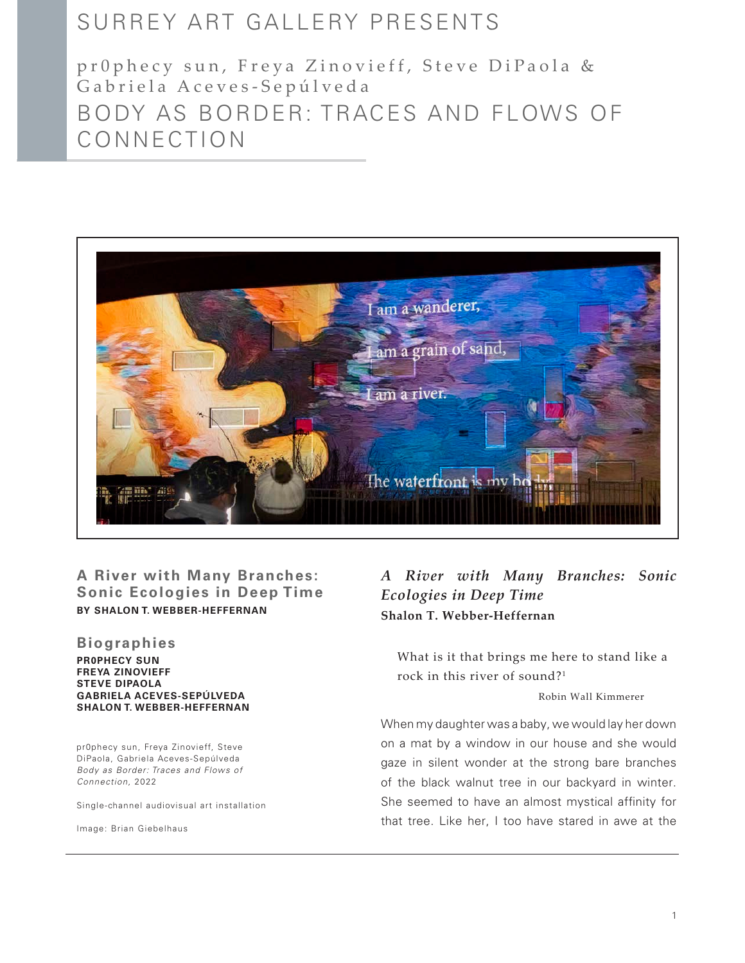# SURREY ART GALLERY PRESENTS

pr0phecy sun, Freya Zinovieff, Steve DiPaola & Gabriela Aceves-Sepúlveda BODY AS BORDER: TRACES AND FLOWS OF CONNECTION



## **BY SHALON T. WEBBER-HEFFERNAN A River with Many Branches: Sonic Ecologies in Deep Time**

#### **Biographies**

#### **PR0PHECY SUN FREYA ZINOVIEFF STEVE DIPAOLA GABRIELA ACEVES-SEPÚLVEDA SHALON T. WEBBER-HEFFERNAN**

pr0phecy sun, Freya Zinovieff, Steve DiPaola, Gabriela Aceves-Sepúlveda *Body as Border: Traces and Flows of Connection,* 2022

Single-channel audiovisual art installation

Image: Brian Giebelhaus

# *A River with Many Branches: Sonic Ecologies in Deep Time* **Shalon T. Webber-Heffernan**

What is it that brings me here to stand like a rock in this river of sound?1

Robin Wall Kimmerer

When my daughter was a baby, we would lay her down on a mat by a window in our house and she would gaze in silent wonder at the strong bare branches of the black walnut tree in our backyard in winter. She seemed to have an almost mystical affinity for that tree. Like her, I too have stared in awe at the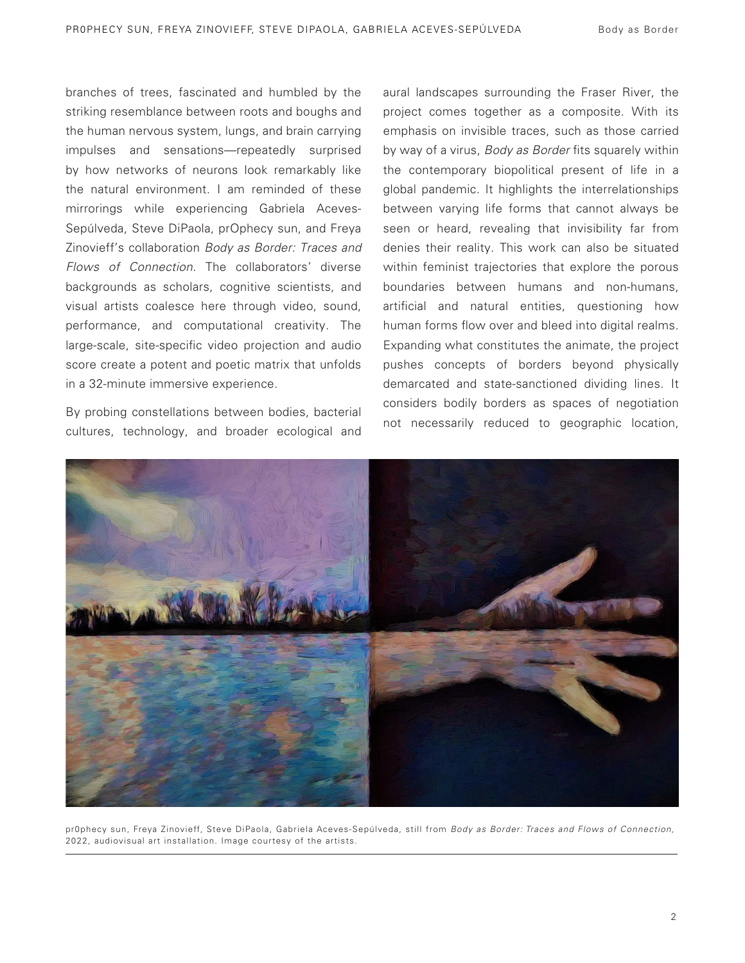branches of trees, fascinated and humbled by the striking resemblance between roots and boughs and the human nervous system, lungs, and brain carrying impulses and sensations—repeatedly surprised by how networks of neurons look remarkably like the natural environment. I am reminded of these mirrorings while experiencing Gabriela Aceves-Sepúlveda, Steve DiPaola, prOphecy sun, and Freya Zinovieff's collaboration *Body as Border: Traces and Flows of Connection*. The collaborators' diverse backgrounds as scholars, cognitive scientists, and visual artists coalesce here through video, sound, performance, and computational creativity. The large-scale, site-specific video projection and audio score create a potent and poetic matrix that unfolds in a 32-minute immersive experience.

By probing constellations between bodies, bacterial cultures, technology, and broader ecological and

aural landscapes surrounding the Fraser River, the project comes together as a composite. With its emphasis on invisible traces, such as those carried by way of a virus, *Body as Border* fits squarely within the contemporary biopolitical present of life in a global pandemic. It highlights the interrelationships between varying life forms that cannot always be seen or heard, revealing that invisibility far from denies their reality. This work can also be situated within feminist trajectories that explore the porous boundaries between humans and non-humans, artificial and natural entities, questioning how human forms flow over and bleed into digital realms. Expanding what constitutes the animate, the project pushes concepts of borders beyond physically demarcated and state-sanctioned dividing lines. It considers bodily borders as spaces of negotiation not necessarily reduced to geographic location,



pr0phecy sun, Freya Zinovieff, Steve DiPaola, Gabriela Aceves-Sepúlveda, still from *Body as Border: Traces and Flows of Connection,*  2022, audiovisual art installation. Image courtesy of the artists.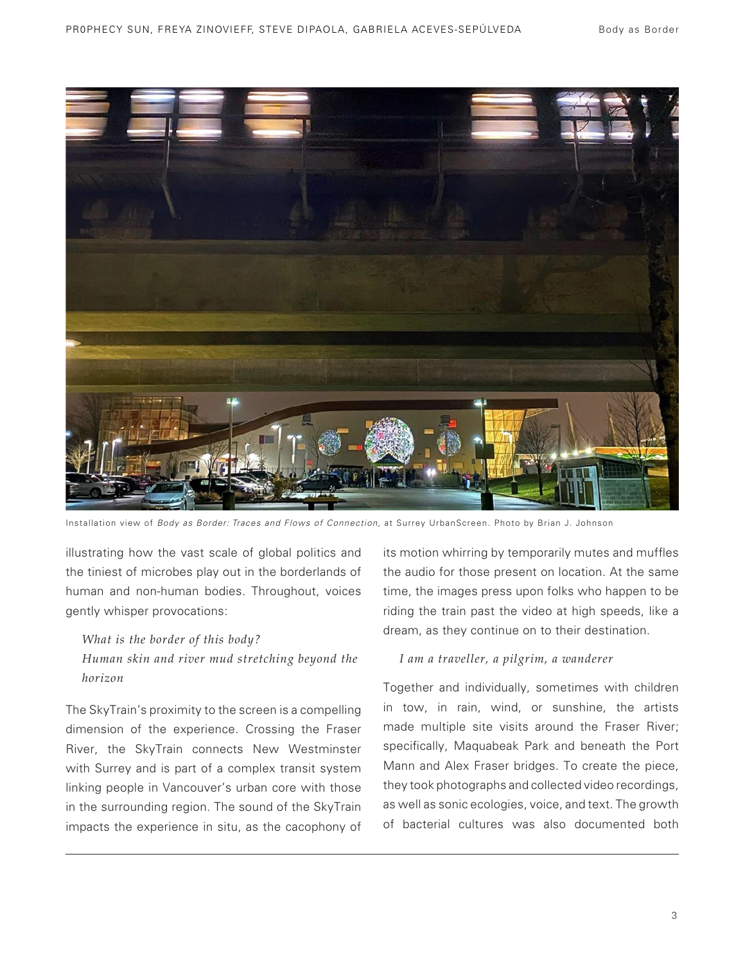

Installation view of *Body as Border: Traces and Flows of Connection*, at Surrey UrbanScreen. Photo by Brian J. Johnson

illustrating how the vast scale of global politics and the tiniest of microbes play out in the borderlands of human and non-human bodies. Throughout, voices gently whisper provocations:

#### *What is the border of this body?*

## *Human skin and river mud stretching beyond the horizon*

The SkyTrain's proximity to the screen is a compelling dimension of the experience. Crossing the Fraser River, the SkyTrain connects New Westminster with Surrey and is part of a complex transit system linking people in Vancouver's urban core with those in the surrounding region. The sound of the SkyTrain impacts the experience in situ, as the cacophony of its motion whirring by temporarily mutes and muffles the audio for those present on location. At the same time, the images press upon folks who happen to be riding the train past the video at high speeds, like a dream, as they continue on to their destination.

### *I am a traveller, a pilgrim, a wanderer*

Together and individually, sometimes with children in tow, in rain, wind, or sunshine, the artists made multiple site visits around the Fraser River; specifically, Maquabeak Park and beneath the Port Mann and Alex Fraser bridges. To create the piece, they took photographs and collected video recordings, as well as sonic ecologies, voice, and text. The growth of bacterial cultures was also documented both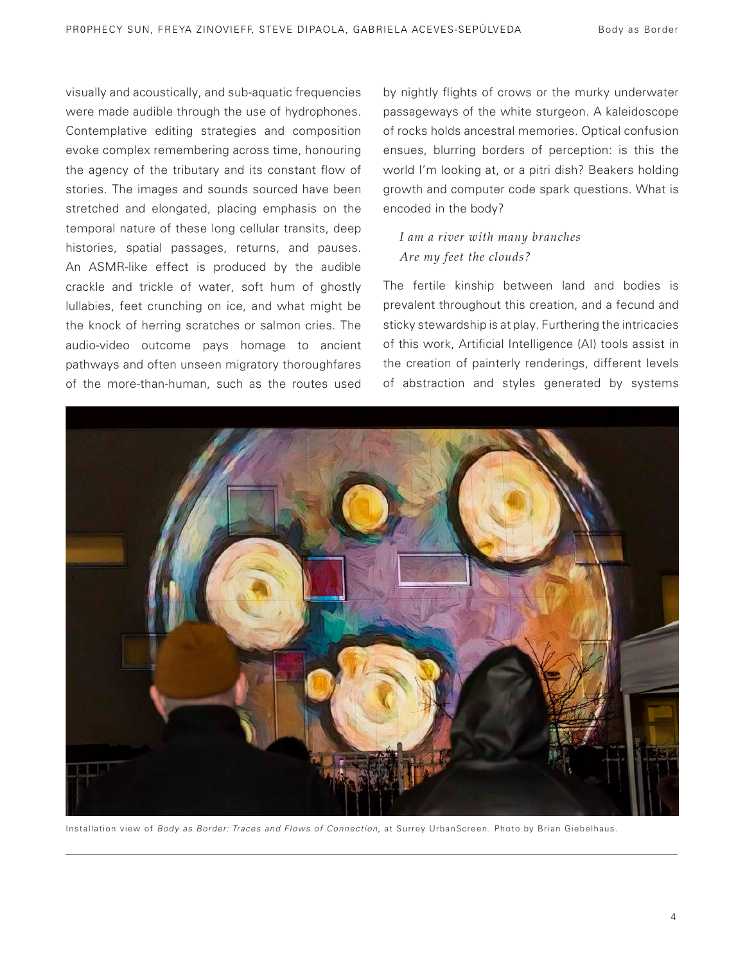visually and acoustically, and sub-aquatic frequencies were made audible through the use of hydrophones. Contemplative editing strategies and composition evoke complex remembering across time, honouring the agency of the tributary and its constant flow of stories. The images and sounds sourced have been stretched and elongated, placing emphasis on the temporal nature of these long cellular transits, deep histories, spatial passages, returns, and pauses. An ASMR-like effect is produced by the audible crackle and trickle of water, soft hum of ghostly lullabies, feet crunching on ice, and what might be the knock of herring scratches or salmon cries. The audio-video outcome pays homage to ancient pathways and often unseen migratory thoroughfares of the more-than-human, such as the routes used

by nightly flights of crows or the murky underwater passageways of the white sturgeon. A kaleidoscope of rocks holds ancestral memories. Optical confusion ensues, blurring borders of perception: is this the world I'm looking at, or a pitri dish? Beakers holding growth and computer code spark questions. What is encoded in the body?

## *I am a river with many branches Are my feet the clouds?*

The fertile kinship between land and bodies is prevalent throughout this creation, and a fecund and sticky stewardship is at play. Furthering the intricacies of this work, Artificial Intelligence (AI) tools assist in the creation of painterly renderings, different levels of abstraction and styles generated by systems



Installation view of *Body as Border: Traces and Flows of Connection,* at Surrey UrbanScreen. Photo by Brian Giebelhaus.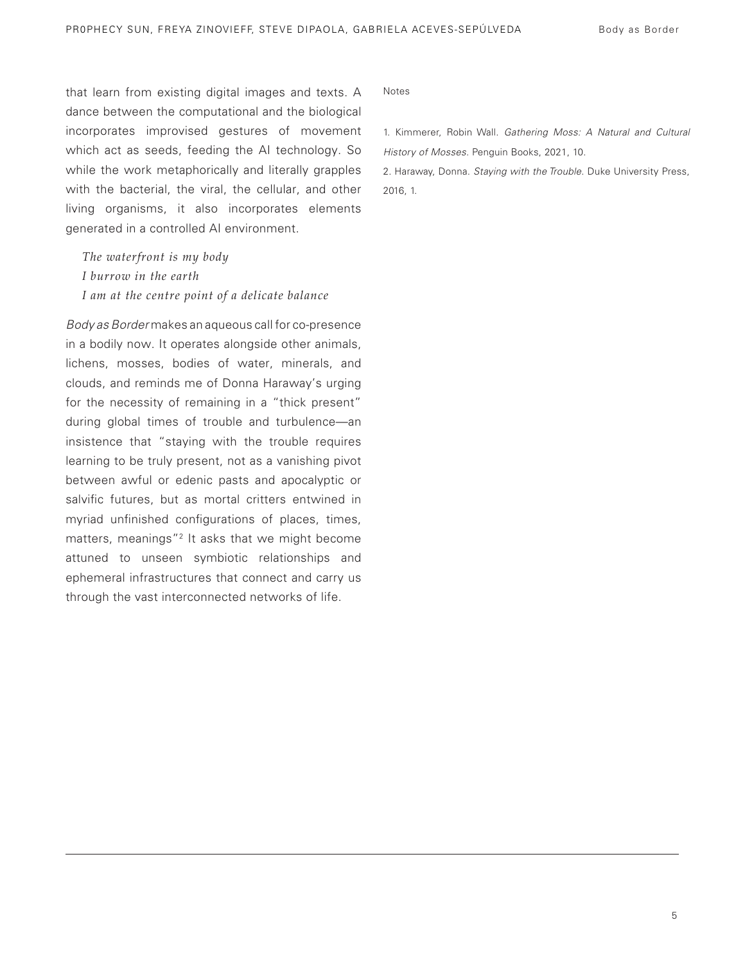that learn from existing digital images and texts. A dance between the computational and the biological incorporates improvised gestures of movement which act as seeds, feeding the AI technology. So while the work metaphorically and literally grapples with the bacterial, the viral, the cellular, and other living organisms, it also incorporates elements generated in a controlled AI environment.

*The waterfront is my body I burrow in the earth I am at the centre point of a delicate balance* 

*Body as Border* makes an aqueous call for co-presence in a bodily now. It operates alongside other animals, lichens, mosses, bodies of water, minerals, and clouds, and reminds me of Donna Haraway's urging for the necessity of remaining in a "thick present" during global times of trouble and turbulence—an insistence that "staying with the trouble requires learning to be truly present, not as a vanishing pivot between awful or edenic pasts and apocalyptic or salvific futures, but as mortal critters entwined in myriad unfinished configurations of places, times, matters, meanings"<sup>2</sup> It asks that we might become attuned to unseen symbiotic relationships and ephemeral infrastructures that connect and carry us through the vast interconnected networks of life.

Notes

1. Kimmerer, Robin Wall. *Gathering Moss: A Natural and Cultural History of Mosses*. Penguin Books, 2021, 10.

2. Haraway, Donna. *Staying with the Trouble*. Duke University Press, 2016, 1.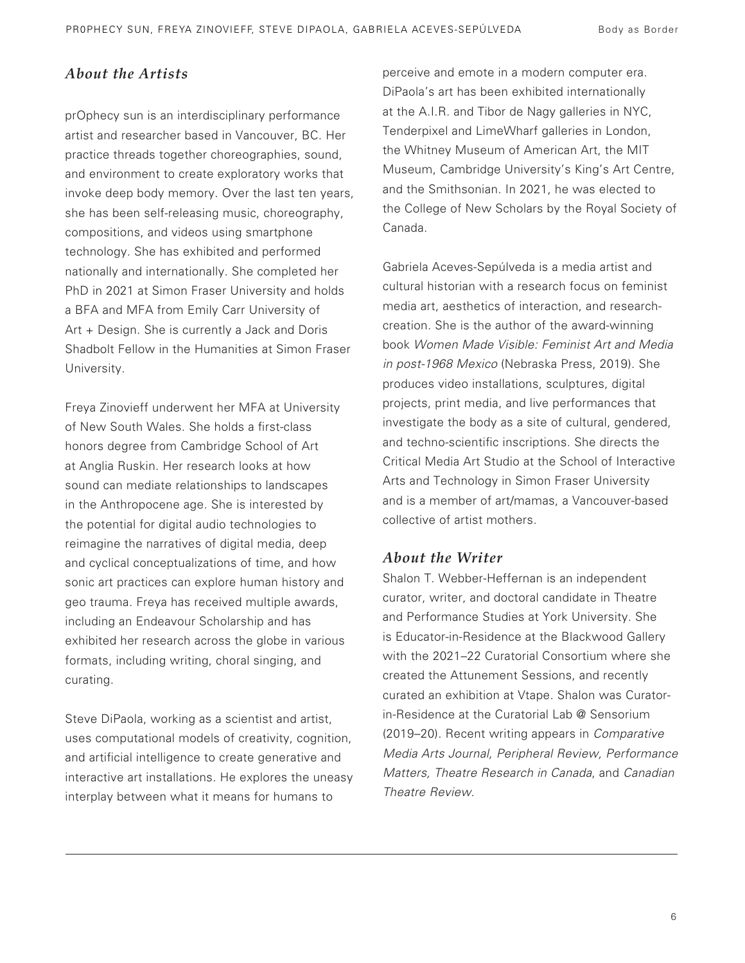# *About the Artists*

prOphecy sun is an interdisciplinary performance artist and researcher based in Vancouver, BC. Her practice threads together choreographies, sound, and environment to create exploratory works that invoke deep body memory. Over the last ten years, she has been self-releasing music, choreography, compositions, and videos using smartphone technology. She has exhibited and performed nationally and internationally. She completed her PhD in 2021 at Simon Fraser University and holds a BFA and MFA from Emily Carr University of Art + Design. She is currently a Jack and Doris Shadbolt Fellow in the Humanities at Simon Fraser University.

Freya Zinovieff underwent her MFA at University of New South Wales. She holds a first-class honors degree from Cambridge School of Art at Anglia Ruskin. Her research looks at how sound can mediate relationships to landscapes in the Anthropocene age. She is interested by the potential for digital audio technologies to reimagine the narratives of digital media, deep and cyclical conceptualizations of time, and how sonic art practices can explore human history and geo trauma. Freya has received multiple awards, including an Endeavour Scholarship and has exhibited her research across the globe in various formats, including writing, choral singing, and curating.

Steve DiPaola, working as a scientist and artist, uses computational models of creativity, cognition, and artificial intelligence to create generative and interactive art installations. He explores the uneasy interplay between what it means for humans to

perceive and emote in a modern computer era. DiPaola's art has been exhibited internationally at the A.I.R. and Tibor de Nagy galleries in NYC, Tenderpixel and LimeWharf galleries in London, the Whitney Museum of American Art, the MIT Museum, Cambridge University's King's Art Centre, and the Smithsonian. In 2021, he was elected to the College of New Scholars by the Royal Society of Canada.

Gabriela Aceves-Sepúlveda is a media artist and cultural historian with a research focus on feminist media art, aesthetics of interaction, and researchcreation. She is the author of the award-winning book *Women Made Visible: Feminist Art and Media in post-1968 Mexico* (Nebraska Press, 2019). She produces video installations, sculptures, digital projects, print media, and live performances that investigate the body as a site of cultural, gendered, and techno-scientific inscriptions. She directs the Critical Media Art Studio at the School of Interactive Arts and Technology in Simon Fraser University and is a member of art/mamas, a Vancouver-based collective of artist mothers.

## *About the Writer*

Shalon T. Webber-Heffernan is an independent curator, writer, and doctoral candidate in Theatre and Performance Studies at York University. She is Educator-in-Residence at the Blackwood Gallery with the 2021–22 Curatorial Consortium where she created the Attunement Sessions, and recently curated an exhibition at Vtape. Shalon was Curatorin-Residence at the Curatorial Lab @ Sensorium (2019–20). Recent writing appears in *Comparative Media Arts Journal, Peripheral Review, Performance Matters, Theatre Research in Canada*, and *Canadian Theatre Review*.